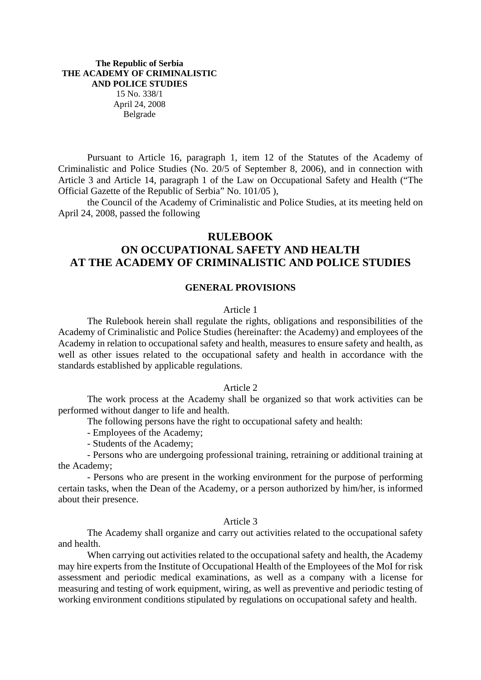# **The Republic of Serbia THE ACADEMY OF CRIMINALISTIC AND POLICE STUDIES**  15 No. 338/1 April 24, 2008 Belgrade

Pursuant to Article 16, paragraph 1, item 12 of the Statutes of the Academy of Criminalistic and Police Studies (No. 20/5 of September 8, 2006), and in connection with Article 3 and Article 14, paragraph 1 of the Law on Occupational Safety and Health ("The Official Gazette of the Republic of Serbia" No. 101/05 ),

the Council of the Academy of Criminalistic and Police Studies, at its meeting held on April 24, 2008, passed the following

# **RULEBOOK**

# **ON OCCUPATIONAL SAFETY AND HEALTH AT THE ACADEMY OF CRIMINALISTIC AND POLICE STUDIES**

#### **GENERAL PROVISIONS**

# Article 1

The Rulebook herein shall regulate the rights, obligations and responsibilities of the Academy of Criminalistic and Police Studies (hereinafter: the Academy) and employees of the Academy in relation to occupational safety and health, measures to ensure safety and health, as well as other issues related to the occupational safety and health in accordance with the standards established by applicable regulations.

#### Article 2

The work process at the Academy shall be organized so that work activities can be performed without danger to life and health.

The following persons have the right to occupational safety and health:

- Employees of the Academy;

- Students of the Academy;

- Persons who are undergoing professional training, retraining or additional training at the Academy;

- Persons who are present in the working environment for the purpose of performing certain tasks, when the Dean of the Academy, or a person authorized by him/her, is informed about their presence.

#### Article 3

The Academy shall organize and carry out activities related to the occupational safety and health.

When carrying out activities related to the occupational safety and health, the Academy may hire experts from the Institute of Occupational Health of the Employees of the MoI for risk assessment and periodic medical examinations, as well as a company with a license for measuring and testing of work equipment, wiring, as well as preventive and periodic testing of working environment conditions stipulated by regulations on occupational safety and health.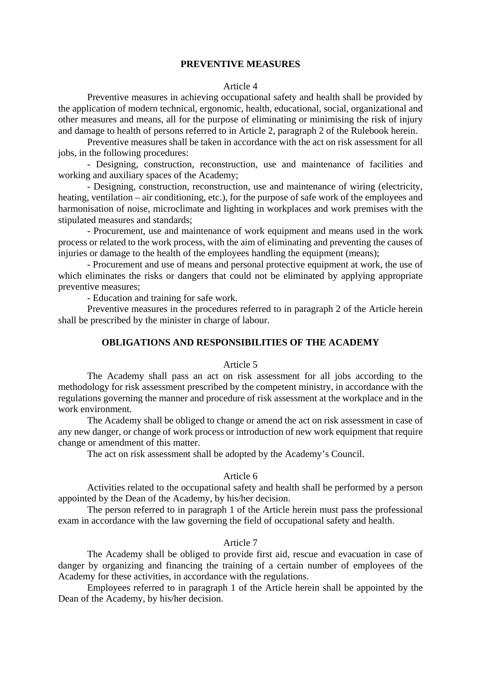# **PREVENTIVE MEASURES**

#### Article 4

Preventive measures in achieving occupational safety and health shall be provided by the application of modern technical, ergonomic, health, educational, social, organizational and other measures and means, all for the purpose of eliminating or minimising the risk of injury and damage to health of persons referred to in Article 2, paragraph 2 of the Rulebook herein.

Preventive measures shall be taken in accordance with the act on risk assessment for all jobs, in the following procedures:

- Designing, construction, reconstruction, use and maintenance of facilities and working and auxiliary spaces of the Academy;

- Designing, construction, reconstruction, use and maintenance of wiring (electricity, heating, ventilation – air conditioning, etc.), for the purpose of safe work of the employees and harmonisation of noise, microclimate and lighting in workplaces and work premises with the stipulated measures and standards;

- Procurement, use and maintenance of work equipment and means used in the work process or related to the work process, with the aim of eliminating and preventing the causes of injuries or damage to the health of the employees handling the equipment (means);

- Procurement and use of means and personal protective equipment at work, the use of which eliminates the risks or dangers that could not be eliminated by applying appropriate preventive measures;

- Education and training for safe work.

Preventive measures in the procedures referred to in paragraph 2 of the Article herein shall be prescribed by the minister in charge of labour.

# **OBLIGATIONS AND RESPONSIBILITIES OF THE ACADEMY**

### Article 5

The Academy shall pass an act on risk assessment for all jobs according to the methodology for risk assessment prescribed by the competent ministry, in accordance with the regulations governing the manner and procedure of risk assessment at the workplace and in the work environment.

The Academy shall be obliged to change or amend the act on risk assessment in case of any new danger, or change of work process or introduction of new work equipment that require change or amendment of this matter.

The act on risk assessment shall be adopted by the Academy's Council.

#### Article 6

Activities related to the occupational safety and health shall be performed by a person appointed by the Dean of the Academy, by his/her decision.

The person referred to in paragraph 1 of the Article herein must pass the professional exam in accordance with the law governing the field of occupational safety and health.

# Article 7

The Academy shall be obliged to provide first aid, rescue and evacuation in case of danger by organizing and financing the training of a certain number of employees of the Academy for these activities, in accordance with the regulations.

Employees referred to in paragraph 1 of the Article herein shall be appointed by the Dean of the Academy, by his/her decision.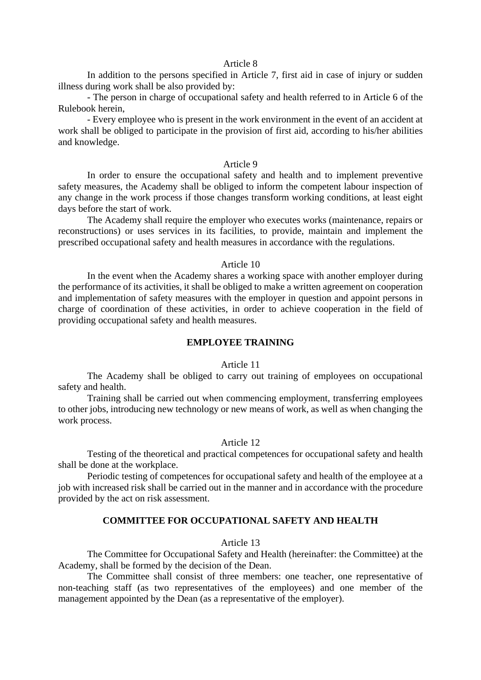# Article 8

In addition to the persons specified in Article 7, first aid in case of injury or sudden illness during work shall be also provided by:

- The person in charge of occupational safety and health referred to in Article 6 of the Rulebook herein,

- Every employee who is present in the work environment in the event of an accident at work shall be obliged to participate in the provision of first aid, according to his/her abilities and knowledge.

# Article 9

In order to ensure the occupational safety and health and to implement preventive safety measures, the Academy shall be obliged to inform the competent labour inspection of any change in the work process if those changes transform working conditions, at least eight days before the start of work.

The Academy shall require the employer who executes works (maintenance, repairs or reconstructions) or uses services in its facilities, to provide, maintain and implement the prescribed occupational safety and health measures in accordance with the regulations.

### Article 10

In the event when the Academy shares a working space with another employer during the performance of its activities, it shall be obliged to make a written agreement on cooperation and implementation of safety measures with the employer in question and appoint persons in charge of coordination of these activities, in order to achieve cooperation in the field of providing occupational safety and health measures.

# **EMPLOYEE TRAINING**

#### Article 11

The Academy shall be obliged to carry out training of employees on occupational safety and health.

Training shall be carried out when commencing employment, transferring employees to other jobs, introducing new technology or new means of work, as well as when changing the work process.

## Article 12

Testing of the theoretical and practical competences for occupational safety and health shall be done at the workplace.

Periodic testing of competences for occupational safety and health of the employee at a job with increased risk shall be carried out in the manner and in accordance with the procedure provided by the act on risk assessment.

# **COMMITTEE FOR OCCUPATIONAL SAFETY AND HEALTH**

# Article 13

The Committee for Occupational Safety and Health (hereinafter: the Committee) at the Academy, shall be formed by the decision of the Dean.

The Committee shall consist of three members: one teacher, one representative of non-teaching staff (as two representatives of the employees) and one member of the management appointed by the Dean (as a representative of the employer).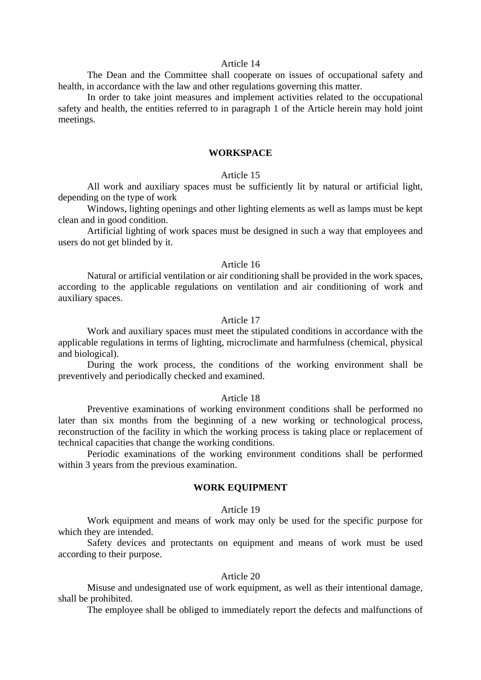# Article 14

The Dean and the Committee shall cooperate on issues of occupational safety and health, in accordance with the law and other regulations governing this matter.

In order to take joint measures and implement activities related to the occupational safety and health, the entities referred to in paragraph 1 of the Article herein may hold joint meetings.

## **WORKSPACE**

### Article 15

All work and auxiliary spaces must be sufficiently lit by natural or artificial light, depending on the type of work

Windows, lighting openings and other lighting elements as well as lamps must be kept clean and in good condition.

Artificial lighting of work spaces must be designed in such a way that employees and users do not get blinded by it.

# Article 16

Natural or artificial ventilation or air conditioning shall be provided in the work spaces, according to the applicable regulations on ventilation and air conditioning of work and auxiliary spaces.

### Article 17

Work and auxiliary spaces must meet the stipulated conditions in accordance with the applicable regulations in terms of lighting, microclimate and harmfulness (chemical, physical and biological).

During the work process, the conditions of the working environment shall be preventively and periodically checked and examined.

# Article 18

Preventive examinations of working environment conditions shall be performed no later than six months from the beginning of a new working or technological process, reconstruction of the facility in which the working process is taking place or replacement of technical capacities that change the working conditions.

Periodic examinations of the working environment conditions shall be performed within 3 years from the previous examination.

# **WORK EQUIPMENT**

#### Article 19

Work equipment and means of work may only be used for the specific purpose for which they are intended.

Safety devices and protectants on equipment and means of work must be used according to their purpose.

# Article 20

Misuse and undesignated use of work equipment, as well as their intentional damage, shall be prohibited.

The employee shall be obliged to immediately report the defects and malfunctions of